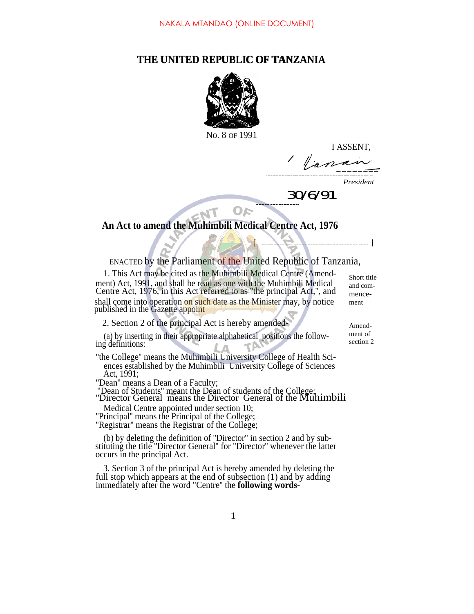# **THE UNITED REPUBLIC OF TANZANIA** THE UNITED REPUBLIC OF TANZANIA



No. 8 OF 1991

I ASSENT,

/  $\|n\|$ 

*President*

 *30/6/91*

<u>I and the second community of the second second second second second second second second second second second</u>

# **An Act to amend the Muhimbili Medical Centre Act, 1976**

# ENACTED by the Parliament of the United Republic of Tanzania,

1. This Act may be cited as the Muhimbili Medical Centre (Amendment) Act, 1991, and shall be read as one with the Muhimbili Medical Centre Act, 1976, in this Act referred to as ''the principal Act,'', and shall come into operation on such date as the Minister may, by notice published in the Gazette appoint

2. Section 2 of the principal Act is hereby amended-

(a) by inserting in their appropriate alphabetical positions the following definitions:

''the College'' means the Muhimbili University College of Health Sciences established by the Muhimbili University College of Sciences Act, 1991;

''Dean'' means a Dean of a Faculty;

"Dean" means a Dean of a Faculty;<br>"Dean of Students" meant the Dean of students of the College;<br>"Director General means the Director General of the Muhimbili

Medical Centre appointed under section 10;

''Principal'' means the Principal of the College;

"Registrar" means the Registrar of the College;

(b) by deleting the definition of ''Director" in section 2 and by substituting the title ''Director General'' for ''Director'' whenever the latter occurs in the principal Act.

3. Section 3 of the principal Act is hereby amended by deleting the full stop which appears at the end of subsection (1) and by adding immediately after the word "Centre'' the **following words-** Short title and commencement

ment of section 2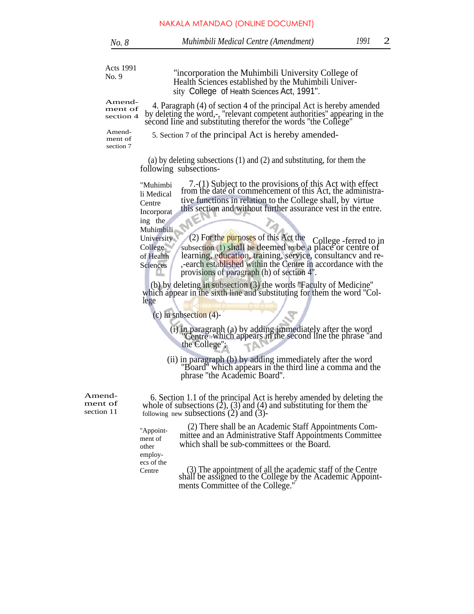| No. 8                           |                                                             | Muhimbili Medical Centre (Amendment)                                                                                                                                                                                                                                                                      | 1991 | 2 |
|---------------------------------|-------------------------------------------------------------|-----------------------------------------------------------------------------------------------------------------------------------------------------------------------------------------------------------------------------------------------------------------------------------------------------------|------|---|
| Acts 1991                       |                                                             |                                                                                                                                                                                                                                                                                                           |      |   |
| No. 9                           |                                                             | "incorporation the Muhimbili University College of<br>Health Sciences established by the Muhimbili Univer-<br>sity College of Health Sciences Act, 1991".                                                                                                                                                 |      |   |
| Amend-<br>ment of<br>section 4  |                                                             | 4. Paragraph (4) of section 4 of the principal Act is hereby amended<br>by deleting the word,-, "relevant competent authorities" appearing in the<br>second line and substituting therefor the words "the College"                                                                                        |      |   |
| Amend-<br>ment of<br>section 7  |                                                             | 5. Section 7 of the principal Act is hereby amended-                                                                                                                                                                                                                                                      |      |   |
|                                 |                                                             | (a) by deleting subsections $(1)$ and $(2)$ and substituting, for them the<br>following subsections-                                                                                                                                                                                                      |      |   |
|                                 | "Muhimbi<br>li Medical<br>Centre<br>Incorporat<br>ing the   | 7.-(1) Subject to the provisions of this Act with effect<br>from the date of commencement of this Act, the administra-<br>tive functions in relation to the College shall, by virtue<br>this section and without further assurance vest in the entre.                                                     |      |   |
|                                 | Muhimbili<br>University<br>College<br>of Health<br>Sciences | (2) For the purposes of this Act the<br>College -ferred to in<br>subsection $(1)$ shall be deemed to be a place or centre of<br>learning, education, training, service, consultancy and re-<br>,-earch established within the Centre in accordance with the<br>provisions of paragraph (h) of section 4". |      |   |
|                                 | lege                                                        | (b) by deleting in subsection $(3)$ the words "Faculty of Medicine"<br>which appear in the sixth line and substituting for them the word "Col-                                                                                                                                                            |      |   |
|                                 |                                                             | (c) in snbsection $(4)$ -                                                                                                                                                                                                                                                                                 |      |   |
|                                 |                                                             | (i) in paragraph (a) by adding immediately after the word<br>"Centre which appears in the second line the phrase "and"<br>the College";                                                                                                                                                                   |      |   |
|                                 |                                                             | (ii) in paragraph (b) by adding immediately after the word<br>"Board" which appears in the third line a comma and the<br>phrase "the Academic Board".                                                                                                                                                     |      |   |
| Amend-<br>ment of<br>section 11 |                                                             | 6. Section 1.1 of the principal Act is hereby amended by deleting the<br>whole of subsections $(2)$ , $(3)$ and $(4)$ and substituting for them the<br>following new subsections $(2)$ and $(3)$ -                                                                                                        |      |   |
|                                 | "Appoint-<br>ment of<br>other<br>employ-<br>ecs of the      | (2) There shall be an Academic Staff Appointments Com-<br>mittee and an Administrative Staff Appointments Committee<br>which shall be sub-committees of the Board.                                                                                                                                        |      |   |
|                                 | Centre                                                      | (3) The appointment of all the academic staff of the Centre shall be assigned to the College by the Academic Appoint-<br>ments Committee of the College."                                                                                                                                                 |      |   |
|                                 |                                                             |                                                                                                                                                                                                                                                                                                           |      |   |
|                                 |                                                             |                                                                                                                                                                                                                                                                                                           |      |   |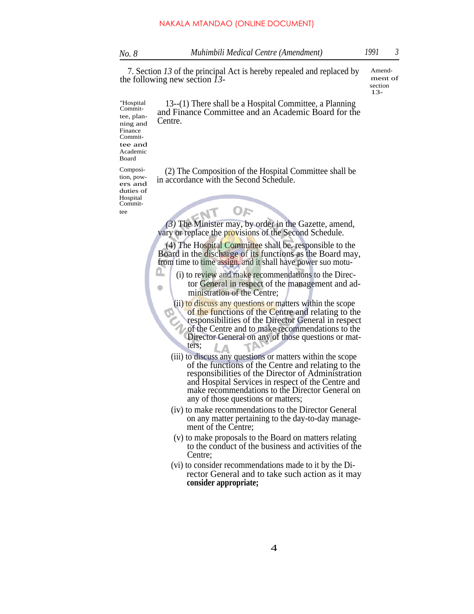7. Section *13* of the principal Act is hereby repealed and replaced by the following new section *13-*

ment of section 13-

Amend-

13--(1) There shall be a Hospital Committee, a Planning and Finance Committee and an Academic Board for the Centre. ''Hospital Commit-

tee, planning and Finance Committee and Academic Board Composi-

tee

tion, powers and duties of Hospital Commit-

> Ω,  $\bullet$

(2) The Composition of the Hospital Committee shall be in accordance with the Second Schedule.

*(3)* The Minister may, by order in the Gazette, amend, vary or replace the provisions of the Second Schedule.

**OF** 

(4) The Hospital Committee shall be. responsible to the Board in the discharge of its functions as the Board may, from time to time assign, and it shall have power suo motu-

- (i) to review and make recommendations to the Director General in respect of the management and administration of the Centre;
	- (ii) to discuss any questions or matters within the scope of the functions of the Centre and relating to the responsibilities of the Director General in respect of the Centre and to make recommendations to the Director General on any of those questions or matters;
	- (iii) to discuss any questions or matters within the scope of the functions of the Centre and relating to the responsibilities of the Director of Administration and Hospital Services in respect of the Centre and make recommendations to the Director General on any of those questions or matters;
	- (iv) to make recommendations to the Director General on any matter pertaining to the day-to-day management of the Centre;
	- (v) to make proposals to the Board on matters relating to the conduct of the business and activities of the Centre;
	- (vi) to consider recommendations made to it by the Director General and to take such action as it may **consider appropriate;**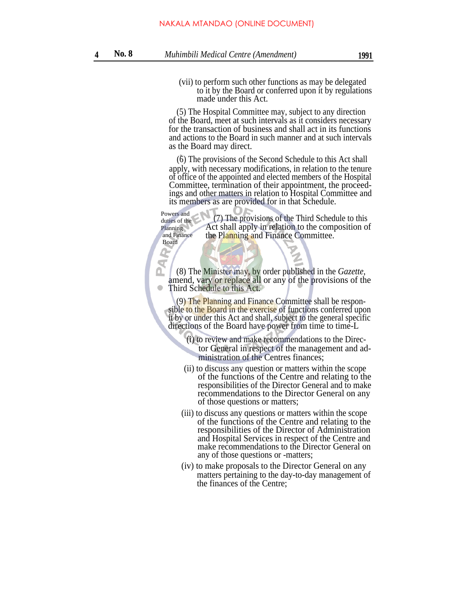(vii) to perform such other functions as may be delegated to it by the Board or conferred upon it by regulations made under this Act.

(5) The Hospital Committee may, subject to any direction of the Board, meet at such intervals as it considers necessary for the transaction of business and shall act in its functions and actions to the Board in such manner and at such intervals as the Board may direct.

(6) The provisions of the Second Schedule to this Act shall <sup>N</sup> apply, with necessary modifications, in relation to the tenure of office of the appointed and elected members of the Hospital Committee, termination of their appointment, the proceedings and other matters in relation to Hospital Committee and its members as are provided for in that Schedule.

(7) The provisions of the Third Schedule to this Act shall apply in relation to the composition of the Planning and Finance Committee. Powers and duties of the Planning and Finance Board

(8) The Minister may, by order published in the *Gazette,* amend, vary or replace all or any of the provisions of the  $\bullet$ Third Schedule to this Act.

(9) The Planning and Finance Committee shall be responsible to the Board in the exercise of functions conferred upon it by or under this Act and shall, subject to the general specific directions of the Board have power from time to time-L

- (i) to review and make recommendations to the Director General in respect of the management and administration of the Centres finances;
- (ii) to discuss any question or matters within the scope of the functions of the Centre and relating to the responsibilities of the Director General and to make recommendations to the Director General on any of those questions or matters;
- (iii) to discuss any questions or matters within the scope of the functions of the Centre and relating to the responsibilities of the Director of Administration and Hospital Services in respect of the Centre and make recommendations to the Director General on any of those questions or -matters;
- (iv) to make proposals to the Director General on any matters pertaining to the day-to-day management of the finances of the Centre;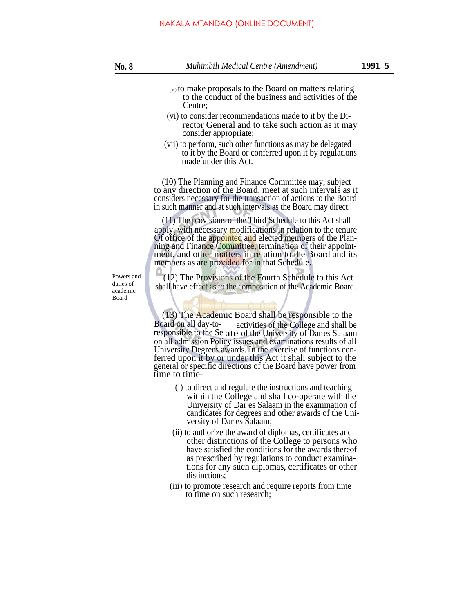- (V) to make proposals to the Board on matters relating to the conduct of the business and activities of the Centre;
- (vi) to consider recommendations made to it by the Director General and to take such action as it may consider appropriate;
- (vii) to perform, such other functions as may be delegated to it by the Board or conferred upon it by regulations made under this Act.

(10) The Planning and Finance Committee may, subject to any direction of the Board, meet at such intervals as it considers necessary for the transaction of actions to the Board in such manner and at such intervals as the Board may direct.

(11) The provisions of the Third Schedule to this Act shall apply, with necessary modifications in relation to the tenure Of office of the appointed and elected members of the Planning and Finance Committee, termination of their appointment, and other matters in relation to the Board and its members as are provided for in that Schedule.

Powers and duties of academic Board

(12) The Provisions of the Fourth Schedule to this Act shall have effect as to the composition of the Academic Board.

(13) The Academic Board shall be responsible to the Board on all day-toresponsible to the Se ate of the University of Dar es Salaam activities of the College and shall be on all admission Policy issues and examinations results of all University Degrees awards. In the exercise of functions conferred upon it by or under this Act it shall subject to the general or specific directions of the Board have power from time to time-

- (i) to direct and regulate the instructions and teaching within the College and shall co-operate with the University of Dar es Salaam in the examination of candidates for degrees and other awards of the University of Dar es Salaam;
- (ii) to authorize the award of diplomas, certificates and other distinctions of the College to persons who have satisfied the conditions for the awards thereof as prescribed by regulations to conduct examinations for any such diplomas, certificates or other distinctions;
- (iii) to promote research and require reports from time to time on such research;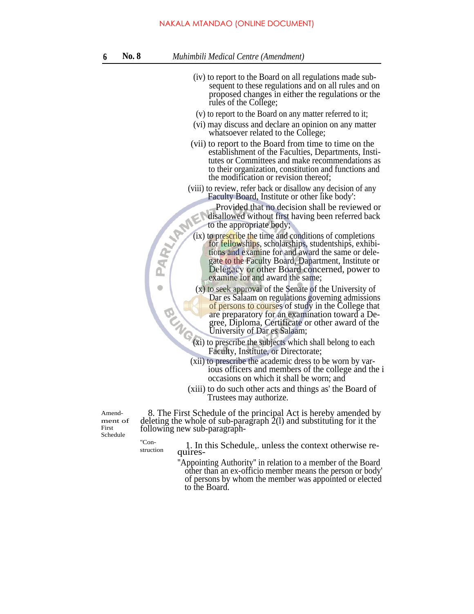### NAKALA MTANDAO (ONLINE DOCUMENT)

| Muhimbili Medical Centre (Amendment)<br><b>No. 8</b> |  |
|------------------------------------------------------|--|
|------------------------------------------------------|--|

- (iv) to report to the Board on all regulations made subsequent to these regulations and on all rules and on proposed changes in either the regulations or the rules of the College;
- (v) to report to the Board on any matter referred to it;
- (vi) may discuss and declare an opinion on any matter whatsoever related to the College;
- (vii) to report to the Board from time to time on the establishment of the Faculties, Departments, Institutes or Committees and make recommendations as to their organization, constitution and functions and the modification or revision thereof;
- (viii) to review, refer back or disallow any decision of any Faculty Board, Institute or other like body':

Provided that no decision shall be reviewed or disallowed without first having been referred back to the appropriate body;

- (ix) to prescribe the time and conditions of completions for fellowships, scholarships, studentships, exhibitions and examine for and award the same or delegate to the Faculty Board, Dapartment, Institute or Delegacy or other Board concerned, power to examine for and award the same;
- (x) to seek approval of the Senate of the University of Dar es Salaam on regulations governing admissions of persons to courses of study in the College that are preparatory for an examination toward a Degree, Diploma, Certificate or other award of the University of Dar es Salaam;
- (xi) to prescribe the subjects which shall belong to each Faculty, Institute, or Directorate;
- (xii) to prescribe the academic dress to be worn by various officers and members of the college and the i occasions on which it shall be worn; and
- (xiii) to do such other acts and things as' the Board of Trustees may authorize.

Amendment of First Schedule

 $\vec{R}$ 

 $\bullet$ 

8. The First Schedule of the principal Act is hereby amended by deleting the whole of sub-paragraph 2(l) and substituting for it the following new sub-paragraph-

 $\frac{1}{\text{Cone}}$  1. In this Schedule,. unless the context otherwise requires-

> ''Appointing Authority'' in relation to a member of the Board other than an ex-officio member means the person or body' of persons by whom the member was appointed or elected to the Board.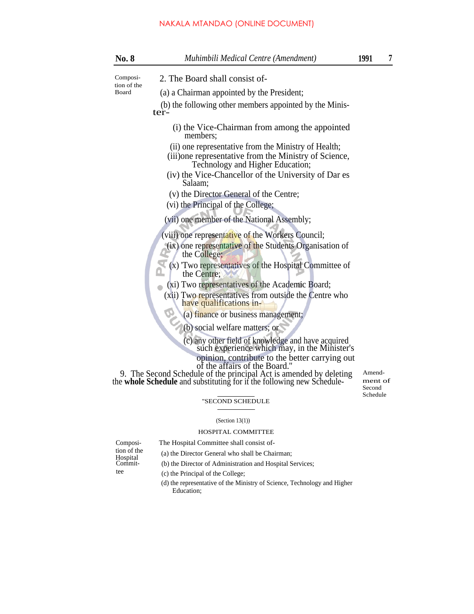## NAKALA MTANDAO (ONLINE DOCUMENT)

| <b>No. 8</b>                     | Muhimbili Medical Centre (Amendment)                                                                                                                                                                                                   | 1991                        | 7 |
|----------------------------------|----------------------------------------------------------------------------------------------------------------------------------------------------------------------------------------------------------------------------------------|-----------------------------|---|
| Composi-<br>tion of the<br>Board | 2. The Board shall consist of-                                                                                                                                                                                                         |                             |   |
|                                  | (a) a Chairman appointed by the President;                                                                                                                                                                                             |                             |   |
|                                  | (b) the following other members appointed by the Minis-<br>ter-                                                                                                                                                                        |                             |   |
|                                  | (i) the Vice-Chairman from among the appointed<br>members;                                                                                                                                                                             |                             |   |
|                                  | (ii) one representative from the Ministry of Health;<br>(iii) one representative from the Ministry of Science,<br>Technology and Higher Education;                                                                                     |                             |   |
|                                  | (iv) the Vice-Chancellor of the University of Dar es<br>Salaam;                                                                                                                                                                        |                             |   |
|                                  | (v) the Director General of the Centre;<br>(vi) the Principal of the College;                                                                                                                                                          |                             |   |
|                                  | (vii) one member of the National Assembly;                                                                                                                                                                                             |                             |   |
|                                  | (viii) one representative of the Workers Council;<br>(ix) one representative of the Students Organisation of<br>the College;                                                                                                           |                             |   |
|                                  | (x) Two representatives of the Hospital Committee of<br>the Centre;                                                                                                                                                                    |                             |   |
|                                  | (xi) Two representatives of the Academic Board;<br>(xii) Two representatives from outside the Centre who<br>have qualifications in-                                                                                                    |                             |   |
|                                  | (a) finance or business management;                                                                                                                                                                                                    |                             |   |
|                                  | (b) social welfare matters; or                                                                                                                                                                                                         |                             |   |
|                                  | (c) any other field of knowledge and have acquired<br>such experience which may, in the Minister's                                                                                                                                     |                             |   |
|                                  | opinion, contribute to the better carrying out<br>of the affairs of the Board."<br>9. The Second Schedule of the principal Act is amended by deleting<br>the <b>whole Schedule</b> and substituting for if the following new Schedule- | Amend-<br>ment of<br>Second |   |
|                                  | "SECOND SCHEDULE                                                                                                                                                                                                                       | Schedule                    |   |

# (Section 13(1)) HOSPITAL COMMITTEE

The Hospital Committee shall consist of-(a) the Director General who shall be Chairman;

| Composi-    |
|-------------|
| tion of the |
| Hospital    |
| Commit-     |
| tee.        |

(b) the Director of Administration and Hospital Services;

tee (c) the Principal of the College;

(d) the representative of the Ministry of Science, Technology and Higher Education;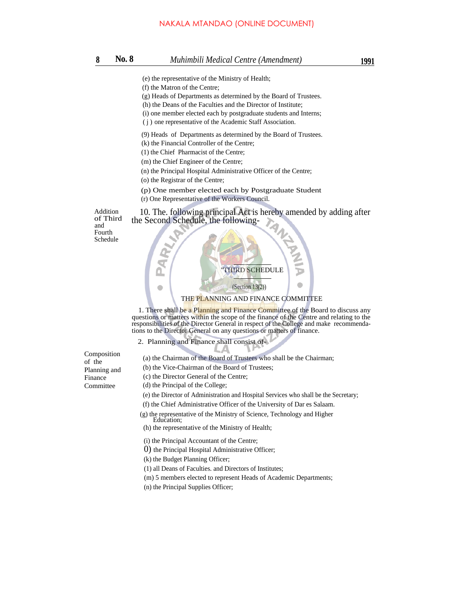# NAKALA MTANDAO (ONLINE DOCUMENT)<br>81991 No. 81991 Muhimbili Medical Centre (Amendment)

- (e) the representative of the Ministry of Health;
- (f) the Matron of the Centre;
- (g) Heads of Departments as determined by the Board of Trustees.
- (h) the Deans of the Faculties and the Director of Institute;
- (i) one member elected each by postgraduate students and Interns;
- ( j ) one representative of the Academic Staff Association.
- (9) Heads of Departments as determined by the Board of Trustees.
- (k) the Financial Controller of the Centre;
- (1) the Chief Pharmacist of the Centre;
- (m) the Chief Engineer of the Centre;
- (n) the Principal Hospital Administrative Officer of the Centre;
- (o) the Registrar of the Centre;
- (p) One member elected each by Postgraduate Student
- (r) One Representative of the Workers Council.

Addition of Third and Fourth Schedule



### THE PLANNING AND FINANCE COMMITTEE

10. The. following principal Act is hereby amended by adding after

1. There shall be a Planning and Finance Committee of the Board to discuss any questions or matters within the scope of the finance of the Centre and relating to the responsibilities of the Director General in respect of the College and make recommendations to the Director General on any questions or matters of finance.

- 2. Planning and Finance shall consist of-
- (a) the Chairman of the Board of Trustees who shall be the Chairman;
- (b) the Vice-Chairman of the Board of Trustees;
- (c) the Director General of the Centre;
- (d) the Principal of the College;
- (e) the Director of Administration and Hospital Services who shall be the Secretary;
- (f) the Chief Administrative Officer of the University of Dar es Salaam.
- (g) the representative of the Ministry of Science, Technology and Higher Education:
- (h) the representative of the Ministry of Health;
- (i) the Principal Accountant of the Centre;
- 0) the Principal Hospital Administrative Officer;
- (k) the Budget Planning Officer;
- (1) all Deans of Faculties. and Directors of Institutes;
- (m) 5 members elected to represent Heads of Academic Departments;
- (n) the Principal Supplies Officer;

Composition of the Planning and Finance Committee